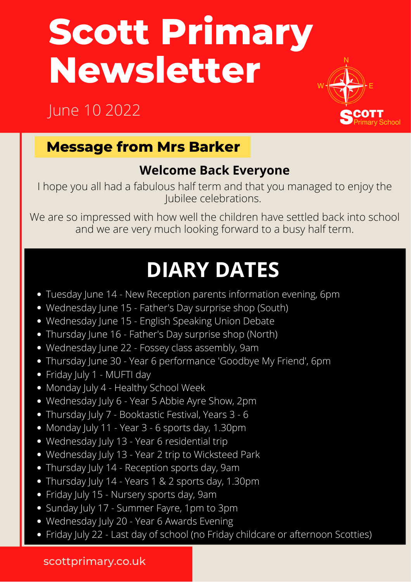# **Scott Primary Newsletter**

# June 10 2022



# **Message from Mrs Barker**

## **Welcome Back Everyone**

I hope you all had a fabulous half term and that you managed to enjoy the Jubilee celebrations.

We are so impressed with how well the children have settled back into school and we are very much looking forward to a busy half term.

# **DIARY DATES**

- Tuesday June 14 New Reception parents information evening, 6pm
- Wednesday June 15 Father's Day surprise shop (South)
- Wednesday June 15 English Speaking Union Debate
- Thursday June 16 Father's Day surprise shop (North)
- Wednesday June 22 Fossey class assembly, 9am
- Thursday June 30 Year 6 performance 'Goodbye My Friend', 6pm
- Friday July 1 MUFTI day
- Monday July 4 Healthy School Week
- Wednesday July 6 Year 5 Abbie Ayre Show, 2pm
- Thursday July 7 Booktastic Festival, Years 3 6
- Monday July 11 Year 3 6 sports day, 1.30pm
- Wednesday July 13 Year 6 residential trip
- Wednesday July 13 Year 2 trip to Wicksteed Park
- Thursday July 14 Reception sports day, 9am
- Thursday July 14 Years 1 & 2 sports day, 1.30pm
- Friday July 15 Nursery sports day, 9am
- Sunday July 17 Summer Fayre, 1pm to 3pm
- Wednesday July 20 Year 6 Awards Evening
- Friday July 22 Last day of school (no Friday childcare or afternoon Scotties)

#### scottprimary.co.uk